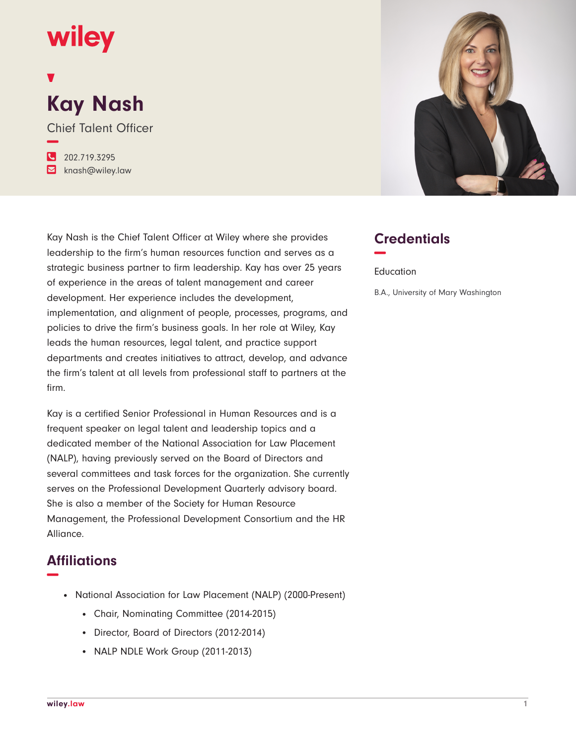## wiley

# **Kay Nash**

Chief Talent Officer **−**

**�** 202.719.3295 **�** knash@wiley.law

Kay Nash is the Chief Talent Officer at Wiley where she provides leadership to the firm's human resources function and serves as a strategic business partner to firm leadership. Kay has over 25 years of experience in the areas of talent management and career development. Her experience includes the development, implementation, and alignment of people, processes, programs, and policies to drive the firm's business goals. In her role at Wiley, Kay leads the human resources, legal talent, and practice support departments and creates initiatives to attract, develop, and advance the firm's talent at all levels from professional staff to partners at the firm.

Kay is a certified Senior Professional in Human Resources and is a frequent speaker on legal talent and leadership topics and a dedicated member of the National Association for Law Placement (NALP), having previously served on the Board of Directors and several committees and task forces for the organization. She currently serves on the Professional Development Quarterly advisory board. She is also a member of the Society for Human Resource Management, the Professional Development Consortium and the HR Alliance.

#### **Affiliations −**

- National Association for Law Placement (NALP) (2000-Present)
	- Chair, Nominating Committee (2014-2015)
	- Director, Board of Directors (2012-2014)
	- NALP NDLE Work Group (2011-2013)



### **Credentials −**

Education

B.A., University of Mary Washington